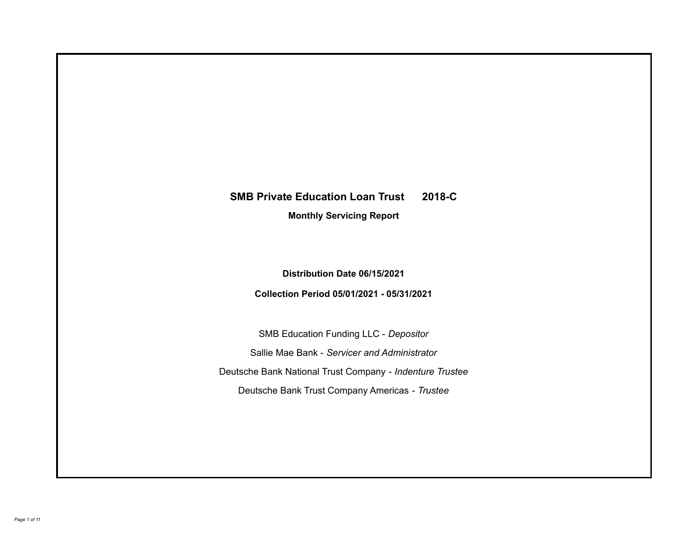# **SMB Private Education Loan Trust 2018-C**

**Monthly Servicing Report**

**Distribution Date 06/15/2021**

**Collection Period 05/01/2021 - 05/31/2021**

SMB Education Funding LLC - *Depositor* Sallie Mae Bank - *Servicer and Administrator* Deutsche Bank National Trust Company - *Indenture Trustee* Deutsche Bank Trust Company Americas - *Trustee*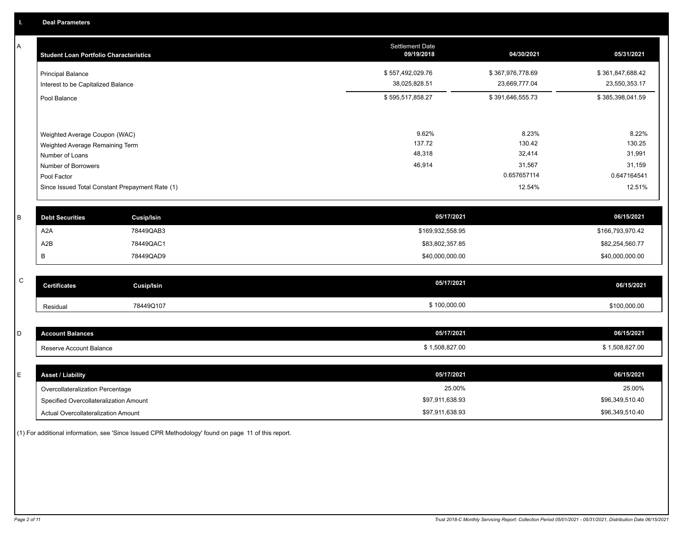A

| Α           | <b>Student Loan Portfolio Characteristics</b>      |                                                 | <b>Settlement Date</b><br>09/19/2018 | 04/30/2021       | 05/31/2021       |
|-------------|----------------------------------------------------|-------------------------------------------------|--------------------------------------|------------------|------------------|
|             | <b>Principal Balance</b>                           |                                                 | \$557,492,029.76                     | \$367,976,778.69 | \$361,847,688.42 |
|             | Interest to be Capitalized Balance                 |                                                 | 38,025,828.51                        | 23,669,777.04    | 23,550,353.17    |
|             | Pool Balance                                       |                                                 | \$595,517,858.27                     | \$391,646,555.73 | \$385,398,041.59 |
|             |                                                    |                                                 | 9.62%                                | 8.23%            | 8.22%            |
|             | Weighted Average Coupon (WAC)                      |                                                 | 137.72                               | 130.42           | 130.25           |
|             | Weighted Average Remaining Term<br>Number of Loans |                                                 | 48,318                               | 32,414           | 31,991           |
|             | Number of Borrowers                                |                                                 | 46,914                               | 31,567           | 31,159           |
|             | Pool Factor                                        |                                                 |                                      | 0.657657114      | 0.647164541      |
|             |                                                    | Since Issued Total Constant Prepayment Rate (1) |                                      | 12.54%           | 12.51%           |
| B           | <b>Debt Securities</b>                             | <b>Cusip/Isin</b>                               | 05/17/2021                           |                  | 06/15/2021       |
|             | A2A                                                | 78449QAB3                                       | \$169,932,558.95                     |                  | \$166,793,970.42 |
|             | A <sub>2</sub> B                                   | 78449QAC1                                       | \$83,802,357.85                      |                  | \$82,254,560.77  |
|             | B                                                  | 78449QAD9                                       | \$40,000,000.00                      |                  | \$40,000,000.00  |
|             |                                                    |                                                 |                                      |                  |                  |
| $\mathsf C$ | <b>Certificates</b>                                | <b>Cusip/Isin</b>                               | 05/17/2021                           |                  | 06/15/2021       |
|             | Residual                                           | 78449Q107                                       | \$100,000.00                         |                  | \$100,000.00     |
|             |                                                    |                                                 |                                      |                  |                  |
| D           | <b>Account Balances</b>                            |                                                 | 05/17/2021                           |                  | 06/15/2021       |
|             | Reserve Account Balance                            |                                                 | \$1,508,827.00                       |                  | \$1,508,827.00   |
| E.          | Accot / Lightlify                                  |                                                 | 05/17/2021                           |                  | 06/15/2021       |

| <b>Asset / Liability</b>               | 05/17/2021      | 06/15/2021      |
|----------------------------------------|-----------------|-----------------|
| Overcollateralization Percentage       | 25.00%          | 25.00%          |
| Specified Overcollateralization Amount | \$97,911,638.93 | \$96,349,510.40 |
| Actual Overcollateralization Amount    | \$97,911,638.93 | \$96,349,510.40 |

(1) For additional information, see 'Since Issued CPR Methodology' found on page 11 of this report.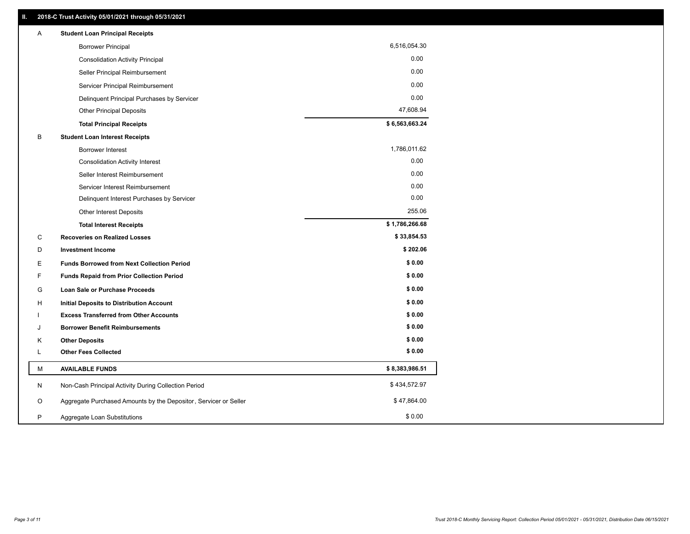| Α  | <b>Student Loan Principal Receipts</b>                           |                |
|----|------------------------------------------------------------------|----------------|
|    | <b>Borrower Principal</b>                                        | 6,516,054.30   |
|    | <b>Consolidation Activity Principal</b>                          | 0.00           |
|    | Seller Principal Reimbursement                                   | 0.00           |
|    | Servicer Principal Reimbursement                                 | 0.00           |
|    | Delinquent Principal Purchases by Servicer                       | 0.00           |
|    | <b>Other Principal Deposits</b>                                  | 47,608.94      |
|    | <b>Total Principal Receipts</b>                                  | \$6,563,663.24 |
| B  | <b>Student Loan Interest Receipts</b>                            |                |
|    | <b>Borrower Interest</b>                                         | 1,786,011.62   |
|    | <b>Consolidation Activity Interest</b>                           | 0.00           |
|    | Seller Interest Reimbursement                                    | 0.00           |
|    | Servicer Interest Reimbursement                                  | 0.00           |
|    | Delinquent Interest Purchases by Servicer                        | 0.00           |
|    | Other Interest Deposits                                          | 255.06         |
|    | <b>Total Interest Receipts</b>                                   | \$1,786,266.68 |
| C  | <b>Recoveries on Realized Losses</b>                             | \$33,854.53    |
| D  | <b>Investment Income</b>                                         | \$202.06       |
| E. | <b>Funds Borrowed from Next Collection Period</b>                | \$0.00         |
| F  | <b>Funds Repaid from Prior Collection Period</b>                 | \$0.00         |
| G  | Loan Sale or Purchase Proceeds                                   | \$0.00         |
| H  | Initial Deposits to Distribution Account                         | \$0.00         |
|    | <b>Excess Transferred from Other Accounts</b>                    | \$0.00         |
| J  | <b>Borrower Benefit Reimbursements</b>                           | \$0.00         |
| Κ  | <b>Other Deposits</b>                                            | \$0.00         |
| L  | <b>Other Fees Collected</b>                                      | \$0.00         |
| M  | <b>AVAILABLE FUNDS</b>                                           | \$8,383,986.51 |
| N  | Non-Cash Principal Activity During Collection Period             | \$434,572.97   |
| O  | Aggregate Purchased Amounts by the Depositor, Servicer or Seller | \$47,864.00    |
| P  | Aggregate Loan Substitutions                                     | \$0.00         |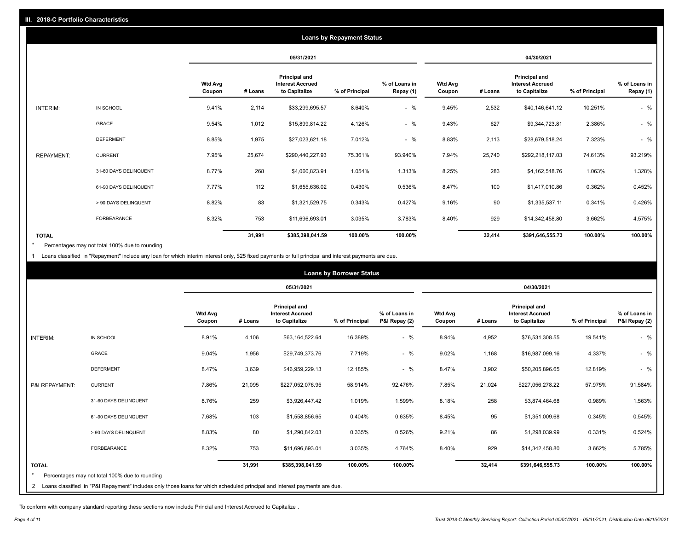|                   | <b>Loans by Repayment Status</b> |                          |            |                                                           |                |                            |                          |         |                                                           |                |                            |
|-------------------|----------------------------------|--------------------------|------------|-----------------------------------------------------------|----------------|----------------------------|--------------------------|---------|-----------------------------------------------------------|----------------|----------------------------|
|                   |                                  |                          | 05/31/2021 |                                                           |                | 04/30/2021                 |                          |         |                                                           |                |                            |
|                   |                                  | <b>Wtd Avg</b><br>Coupon | # Loans    | Principal and<br><b>Interest Accrued</b><br>to Capitalize | % of Principal | % of Loans in<br>Repay (1) | <b>Wtd Avg</b><br>Coupon | # Loans | Principal and<br><b>Interest Accrued</b><br>to Capitalize | % of Principal | % of Loans in<br>Repay (1) |
| INTERIM:          | IN SCHOOL                        | 9.41%                    | 2,114      | \$33,299,695.57                                           | 8.640%         | $-$ %                      | 9.45%                    | 2,532   | \$40,146,641.12                                           | 10.251%        | $-$ %                      |
|                   | GRACE                            | 9.54%                    | 1,012      | \$15,899,814.22                                           | 4.126%         | $-$ %                      | 9.43%                    | 627     | \$9,344,723.81                                            | 2.386%         | $-$ %                      |
|                   | <b>DEFERMENT</b>                 | 8.85%                    | 1,975      | \$27,023,621.18                                           | 7.012%         | $-$ %                      | 8.83%                    | 2,113   | \$28,679,518.24                                           | 7.323%         | $-$ %                      |
| <b>REPAYMENT:</b> | <b>CURRENT</b>                   | 7.95%                    | 25,674     | \$290,440,227.93                                          | 75.361%        | 93.940%                    | 7.94%                    | 25,740  | \$292,218,117.03                                          | 74.613%        | 93.219%                    |
|                   | 31-60 DAYS DELINQUENT            | 8.77%                    | 268        | \$4,060,823.91                                            | 1.054%         | 1.313%                     | 8.25%                    | 283     | \$4,162,548.76                                            | 1.063%         | 1.328%                     |
|                   | 61-90 DAYS DELINQUENT            | 7.77%                    | 112        | \$1,655,636.02                                            | 0.430%         | 0.536%                     | 8.47%                    | 100     | \$1,417,010.86                                            | 0.362%         | 0.452%                     |
|                   | > 90 DAYS DELINQUENT             | 8.82%                    | 83         | \$1,321,529.75                                            | 0.343%         | 0.427%                     | 9.16%                    | 90      | \$1,335,537.11                                            | 0.341%         | 0.426%                     |
|                   | <b>FORBEARANCE</b>               | 8.32%                    | 753        | \$11,696,693.01                                           | 3.035%         | 3.783%                     | 8.40%                    | 929     | \$14,342,458.80                                           | 3.662%         | 4.575%                     |
| <b>TOTAL</b>      |                                  |                          | 31,991     | \$385,398,041.59                                          | 100.00%        | 100.00%                    |                          | 32,414  | \$391,646,555.73                                          | 100.00%        | 100.00%                    |

Percentages may not total 100% due to rounding \*

1 Loans classified in "Repayment" include any loan for which interim interest only, \$25 fixed payments or full principal and interest payments are due.

| <b>Loans by Borrower Status</b> |                                                                                                                              |                          |         |                                                                  |                |                                |                          |         |                                                                  |                |                                |
|---------------------------------|------------------------------------------------------------------------------------------------------------------------------|--------------------------|---------|------------------------------------------------------------------|----------------|--------------------------------|--------------------------|---------|------------------------------------------------------------------|----------------|--------------------------------|
|                                 |                                                                                                                              |                          |         | 05/31/2021                                                       |                |                                |                          |         | 04/30/2021                                                       |                |                                |
|                                 |                                                                                                                              | <b>Wtd Avg</b><br>Coupon | # Loans | <b>Principal and</b><br><b>Interest Accrued</b><br>to Capitalize | % of Principal | % of Loans in<br>P&I Repay (2) | <b>Wtd Avg</b><br>Coupon | # Loans | <b>Principal and</b><br><b>Interest Accrued</b><br>to Capitalize | % of Principal | % of Loans in<br>P&I Repay (2) |
| <b>INTERIM:</b>                 | IN SCHOOL                                                                                                                    | 8.91%                    | 4,106   | \$63,164,522.64                                                  | 16.389%        | $-$ %                          | 8.94%                    | 4,952   | \$76,531,308.55                                                  | 19.541%        | $-$ %                          |
|                                 | <b>GRACE</b>                                                                                                                 | 9.04%                    | 1,956   | \$29,749,373.76                                                  | 7.719%         | $-$ %                          | 9.02%                    | 1,168   | \$16,987,099.16                                                  | 4.337%         | $-$ %                          |
|                                 | <b>DEFERMENT</b>                                                                                                             | 8.47%                    | 3,639   | \$46,959,229.13                                                  | 12.185%        | $-$ %                          | 8.47%                    | 3,902   | \$50,205,896.65                                                  | 12.819%        | $-$ %                          |
| P&I REPAYMENT:                  | <b>CURRENT</b>                                                                                                               | 7.86%                    | 21,095  | \$227,052,076.95                                                 | 58.914%        | 92.476%                        | 7.85%                    | 21,024  | \$227,056,278.22                                                 | 57.975%        | 91.584%                        |
|                                 | 31-60 DAYS DELINQUENT                                                                                                        | 8.76%                    | 259     | \$3,926,447.42                                                   | 1.019%         | 1.599%                         | 8.18%                    | 258     | \$3,874,464.68                                                   | 0.989%         | 1.563%                         |
|                                 | 61-90 DAYS DELINQUENT                                                                                                        | 7.68%                    | 103     | \$1,558,856.65                                                   | 0.404%         | 0.635%                         | 8.45%                    | 95      | \$1,351,009.68                                                   | 0.345%         | 0.545%                         |
|                                 | > 90 DAYS DELINQUENT                                                                                                         | 8.83%                    | 80      | \$1,290,842.03                                                   | 0.335%         | 0.526%                         | 9.21%                    | 86      | \$1,298,039.99                                                   | 0.331%         | 0.524%                         |
|                                 | <b>FORBEARANCE</b>                                                                                                           | 8.32%                    | 753     | \$11,696,693.01                                                  | 3.035%         | 4.764%                         | 8.40%                    | 929     | \$14,342,458.80                                                  | 3.662%         | 5.785%                         |
| <b>TOTAL</b>                    | Percentages may not total 100% due to rounding                                                                               |                          | 31,991  | \$385,398,041.59                                                 | 100.00%        | 100.00%                        |                          | 32,414  | \$391,646,555.73                                                 | 100.00%        | 100.00%                        |
|                                 | 2 Loans classified in "P&I Repayment" includes only those loans for which scheduled principal and interest payments are due. |                          |         |                                                                  |                |                                |                          |         |                                                                  |                |                                |

To conform with company standard reporting these sections now include Princial and Interest Accrued to Capitalize .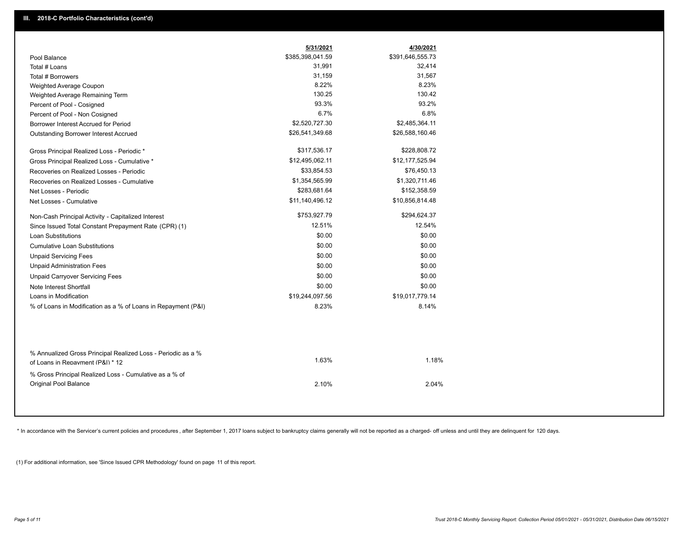|                                                                                        | 5/31/2021        | 4/30/2021        |
|----------------------------------------------------------------------------------------|------------------|------------------|
| Pool Balance                                                                           | \$385,398,041.59 | \$391,646,555.73 |
| Total # Loans                                                                          | 31,991           | 32,414           |
| Total # Borrowers                                                                      | 31,159           | 31,567           |
| Weighted Average Coupon                                                                | 8.22%            | 8.23%            |
| Weighted Average Remaining Term                                                        | 130.25           | 130.42           |
| Percent of Pool - Cosigned                                                             | 93.3%            | 93.2%            |
| Percent of Pool - Non Cosigned                                                         | 6.7%             | 6.8%             |
| Borrower Interest Accrued for Period                                                   | \$2,520,727.30   | \$2,485,364.11   |
| <b>Outstanding Borrower Interest Accrued</b>                                           | \$26,541,349.68  | \$26,588,160.46  |
| Gross Principal Realized Loss - Periodic *                                             | \$317,536.17     | \$228,808.72     |
| Gross Principal Realized Loss - Cumulative *                                           | \$12,495,062.11  | \$12,177,525.94  |
| Recoveries on Realized Losses - Periodic                                               | \$33,854.53      | \$76,450.13      |
| Recoveries on Realized Losses - Cumulative                                             | \$1,354,565.99   | \$1,320,711.46   |
| Net Losses - Periodic                                                                  | \$283,681.64     | \$152,358.59     |
| Net Losses - Cumulative                                                                | \$11,140,496.12  | \$10,856,814.48  |
| Non-Cash Principal Activity - Capitalized Interest                                     | \$753,927.79     | \$294,624.37     |
| Since Issued Total Constant Prepayment Rate (CPR) (1)                                  | 12.51%           | 12.54%           |
| <b>Loan Substitutions</b>                                                              | \$0.00           | \$0.00           |
| <b>Cumulative Loan Substitutions</b>                                                   | \$0.00           | \$0.00           |
| <b>Unpaid Servicing Fees</b>                                                           | \$0.00           | \$0.00           |
| <b>Unpaid Administration Fees</b>                                                      | \$0.00           | \$0.00           |
| <b>Unpaid Carryover Servicing Fees</b>                                                 | \$0.00           | \$0.00           |
| Note Interest Shortfall                                                                | \$0.00           | \$0.00           |
| Loans in Modification                                                                  | \$19,244,097.56  | \$19,017,779.14  |
| % of Loans in Modification as a % of Loans in Repayment (P&I)                          | 8.23%            | 8.14%            |
| % Annualized Gross Principal Realized Loss - Periodic as a %                           | 1.63%            | 1.18%            |
| of Loans in Repayment (P&I) * 12                                                       |                  |                  |
| % Gross Principal Realized Loss - Cumulative as a % of<br><b>Original Pool Balance</b> | 2.10%            | 2.04%            |

\* In accordance with the Servicer's current policies and procedures, after September 1, 2017 loans subject to bankruptcy claims generally will not be reported as a charged- off unless and until they are delinquent for 120

(1) For additional information, see 'Since Issued CPR Methodology' found on page 11 of this report.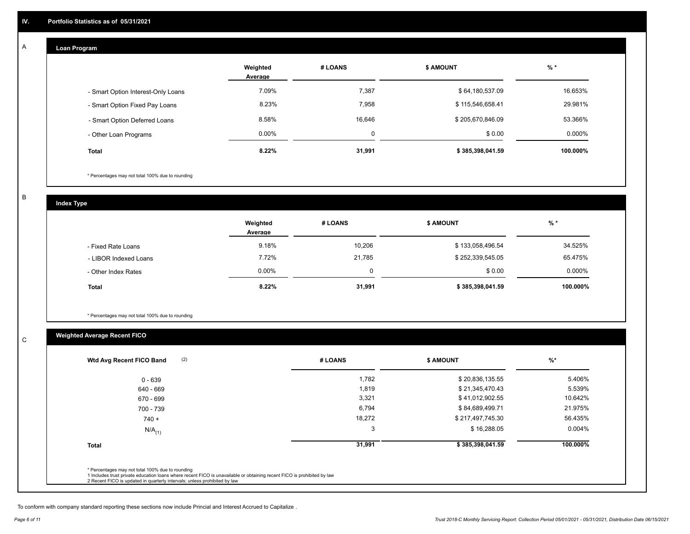#### **Loan Program**  A

|                                    | Weighted<br>Average | # LOANS | <b>\$ AMOUNT</b> | $%$ *    |
|------------------------------------|---------------------|---------|------------------|----------|
| - Smart Option Interest-Only Loans | 7.09%               | 7,387   | \$64,180,537.09  | 16.653%  |
| - Smart Option Fixed Pay Loans     | 8.23%               | 7,958   | \$115,546,658.41 | 29.981%  |
| - Smart Option Deferred Loans      | 8.58%               | 16.646  | \$205,670,846.09 | 53.366%  |
| - Other Loan Programs              | $0.00\%$            | 0       | \$0.00           | 0.000%   |
| <b>Total</b>                       | 8.22%               | 31,991  | \$385,398,041.59 | 100.000% |

\* Percentages may not total 100% due to rounding

B

C

**Index Type**

|                       | Weighted<br>Average | # LOANS | <b>\$ AMOUNT</b> | $%$ *     |
|-----------------------|---------------------|---------|------------------|-----------|
| - Fixed Rate Loans    | 9.18%               | 10,206  | \$133,058,496.54 | 34.525%   |
| - LIBOR Indexed Loans | 7.72%               | 21.785  | \$252,339,545.05 | 65.475%   |
| - Other Index Rates   | $0.00\%$            |         | \$0.00           | $0.000\%$ |
| <b>Total</b>          | 8.22%               | 31,991  | \$385,398,041.59 | 100.000%  |

\* Percentages may not total 100% due to rounding

## **Weighted Average Recent FICO**

| $0 - 639$            | 1,782  | \$20,836,135.55  | 5.406%    |
|----------------------|--------|------------------|-----------|
| 640 - 669            | 1,819  | \$21,345,470.43  | 5.539%    |
| 670 - 699            | 3,321  | \$41,012,902.55  | 10.642%   |
| 700 - 739            | 6,794  | \$84,689,499.71  | 21.975%   |
| $740 +$              | 18,272 | \$217,497,745.30 | 56.435%   |
| $N/A$ <sub>(1)</sub> | 3      | \$16,288.05      | $0.004\%$ |
| <b>Total</b>         | 31,991 | \$385,398,041.59 | 100.000%  |

To conform with company standard reporting these sections now include Princial and Interest Accrued to Capitalize .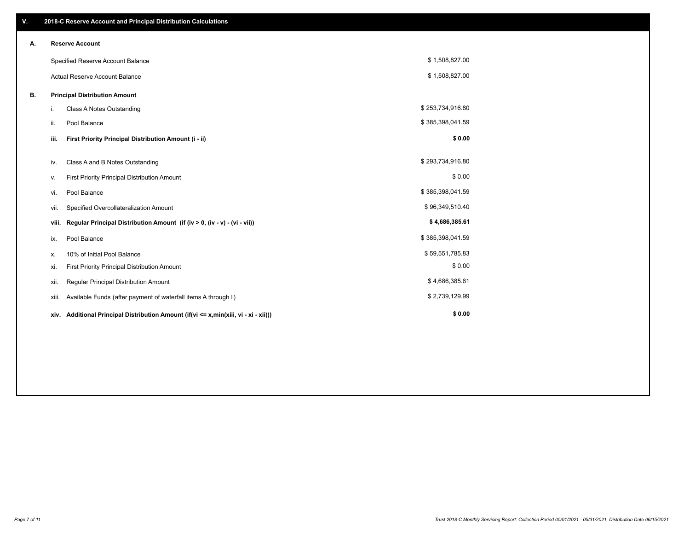| V. |       | 2018-C Reserve Account and Principal Distribution Calculations                  |                  |  |
|----|-------|---------------------------------------------------------------------------------|------------------|--|
| А. |       | <b>Reserve Account</b>                                                          |                  |  |
|    |       | Specified Reserve Account Balance                                               | \$1,508,827.00   |  |
|    |       | <b>Actual Reserve Account Balance</b>                                           | \$1,508,827.00   |  |
| В. |       | <b>Principal Distribution Amount</b>                                            |                  |  |
|    | i.    | Class A Notes Outstanding                                                       | \$253,734,916.80 |  |
|    | ii.   | Pool Balance                                                                    | \$385,398,041.59 |  |
|    | iii.  | First Priority Principal Distribution Amount (i - ii)                           | \$0.00           |  |
|    | iv.   | Class A and B Notes Outstanding                                                 | \$293,734,916.80 |  |
|    | ν.    | First Priority Principal Distribution Amount                                    | \$0.00           |  |
|    | vi.   | Pool Balance                                                                    | \$385,398,041.59 |  |
|    | vii.  | Specified Overcollateralization Amount                                          | \$96,349,510.40  |  |
|    | viii. | Regular Principal Distribution Amount (if (iv > 0, (iv - v) - (vi - vii))       | \$4,686,385.61   |  |
|    | ix.   | Pool Balance                                                                    | \$385,398,041.59 |  |
|    | х.    | 10% of Initial Pool Balance                                                     | \$59,551,785.83  |  |
|    | xi.   | First Priority Principal Distribution Amount                                    | \$0.00           |  |
|    | xii.  | Regular Principal Distribution Amount                                           | \$4,686,385.61   |  |
|    | xiii. | Available Funds (after payment of waterfall items A through I)                  | \$2,739,129.99   |  |
|    | xiv.  | Additional Principal Distribution Amount (if(vi <= x,min(xiii, vi - xi - xii))) | \$0.00           |  |
|    |       |                                                                                 |                  |  |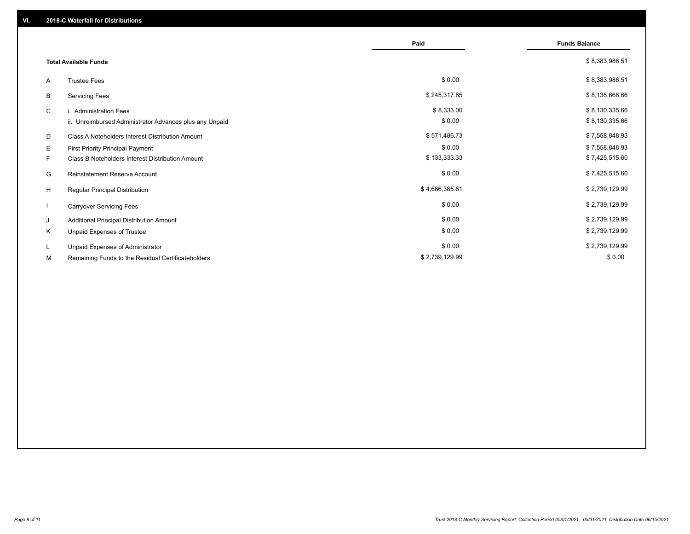|    |                                                         | Paid           | <b>Funds Balance</b> |
|----|---------------------------------------------------------|----------------|----------------------|
|    | <b>Total Available Funds</b>                            |                | \$8,383,986.51       |
| A  | <b>Trustee Fees</b>                                     | \$0.00         | \$8,383,986.51       |
| В  | <b>Servicing Fees</b>                                   | \$245,317.85   | \$8,138,668.66       |
| C  | i. Administration Fees                                  | \$8,333.00     | \$8,130,335.66       |
|    | ii. Unreimbursed Administrator Advances plus any Unpaid | \$0.00         | \$8,130,335.66       |
| D  | Class A Noteholders Interest Distribution Amount        | \$571,486.73   | \$7,558,848.93       |
| E. | First Priority Principal Payment                        | \$0.00         | \$7,558,848.93       |
| F. | Class B Noteholders Interest Distribution Amount        | \$133,333.33   | \$7,425,515.60       |
| G  | <b>Reinstatement Reserve Account</b>                    | \$0.00         | \$7,425,515.60       |
| H  | Regular Principal Distribution                          | \$4,686,385.61 | \$2,739,129.99       |
|    | <b>Carryover Servicing Fees</b>                         | \$0.00         | \$2,739,129.99       |
| J  | Additional Principal Distribution Amount                | \$0.00         | \$2,739,129.99       |
| Κ  | Unpaid Expenses of Trustee                              | \$0.00         | \$2,739,129.99       |
| L. | Unpaid Expenses of Administrator                        | \$0.00         | \$2,739,129.99       |
| М  | Remaining Funds to the Residual Certificateholders      | \$2,739,129.99 | \$0.00               |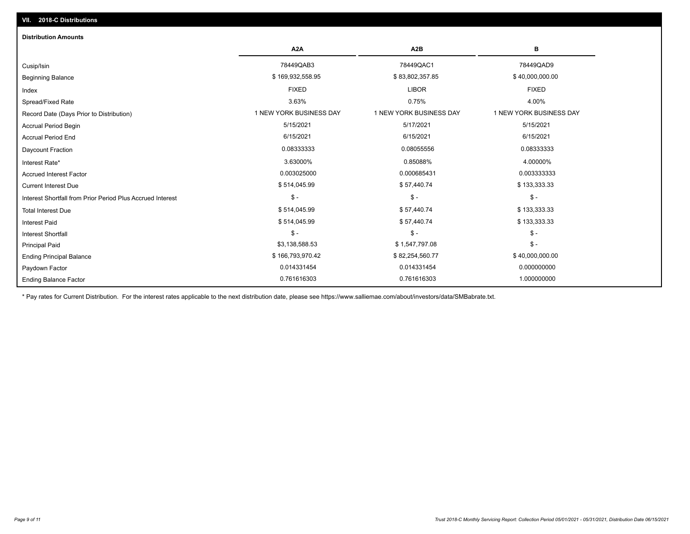| <b>Distribution Amounts</b>                                |                         |                         |                         |
|------------------------------------------------------------|-------------------------|-------------------------|-------------------------|
|                                                            | A <sub>2</sub> A        | A2B                     | в                       |
| Cusip/Isin                                                 | 78449QAB3               | 78449QAC1               | 78449QAD9               |
| <b>Beginning Balance</b>                                   | \$169,932,558.95        | \$83,802,357.85         | \$40,000,000.00         |
| Index                                                      | <b>FIXED</b>            | <b>LIBOR</b>            | <b>FIXED</b>            |
| Spread/Fixed Rate                                          | 3.63%                   | 0.75%                   | 4.00%                   |
| Record Date (Days Prior to Distribution)                   | 1 NEW YORK BUSINESS DAY | 1 NEW YORK BUSINESS DAY | 1 NEW YORK BUSINESS DAY |
| <b>Accrual Period Begin</b>                                | 5/15/2021               | 5/17/2021               | 5/15/2021               |
| <b>Accrual Period End</b>                                  | 6/15/2021               | 6/15/2021               | 6/15/2021               |
| Daycount Fraction                                          | 0.08333333              | 0.08055556              | 0.08333333              |
| Interest Rate*                                             | 3.63000%                | 0.85088%                | 4.00000%                |
| <b>Accrued Interest Factor</b>                             | 0.003025000             | 0.000685431             | 0.003333333             |
| <b>Current Interest Due</b>                                | \$514,045.99            | \$57,440.74             | \$133,333.33            |
| Interest Shortfall from Prior Period Plus Accrued Interest | $\frac{1}{2}$           | $$ -$                   | $$ -$                   |
| <b>Total Interest Due</b>                                  | \$514,045.99            | \$57,440.74             | \$133,333.33            |
| <b>Interest Paid</b>                                       | \$514,045.99            | \$57,440.74             | \$133,333.33            |
| <b>Interest Shortfall</b>                                  | $$ -$                   | $$ -$                   | $$ -$                   |
| <b>Principal Paid</b>                                      | \$3,138,588.53          | \$1,547,797.08          | $$ -$                   |
| <b>Ending Principal Balance</b>                            | \$166,793,970.42        | \$82,254,560.77         | \$40,000,000.00         |
| Paydown Factor                                             | 0.014331454             | 0.014331454             | 0.000000000             |
| <b>Ending Balance Factor</b>                               | 0.761616303             | 0.761616303             | 1.000000000             |

\* Pay rates for Current Distribution. For the interest rates applicable to the next distribution date, please see https://www.salliemae.com/about/investors/data/SMBabrate.txt.

**VII. 2018-C Distributions**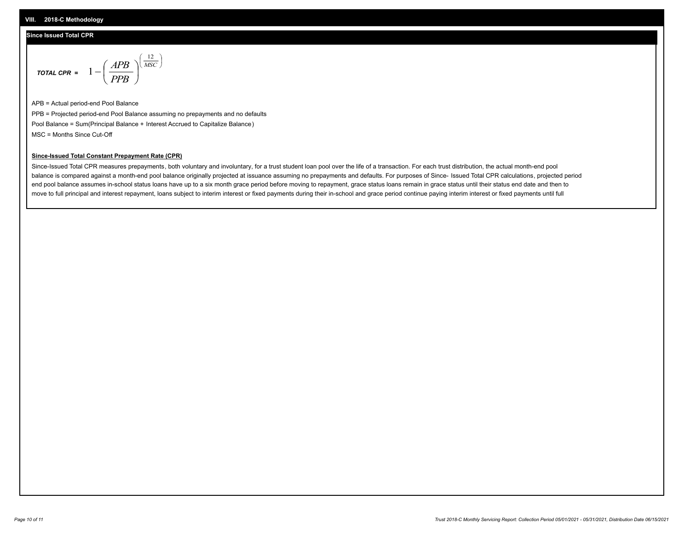#### **Since Issued Total CPR**

$$
\text{total CPR} = 1 - \left(\frac{APB}{PPB}\right)^{\left(\frac{12}{MSC}\right)}
$$

APB = Actual period-end Pool Balance PPB = Projected period-end Pool Balance assuming no prepayments and no defaults Pool Balance = Sum(Principal Balance + Interest Accrued to Capitalize Balance) MSC = Months Since Cut-Off

 $\mathsf{I}$ J λ

#### **Since-Issued Total Constant Prepayment Rate (CPR)**

Since-Issued Total CPR measures prepayments, both voluntary and involuntary, for a trust student loan pool over the life of a transaction. For each trust distribution, the actual month-end pool balance is compared against a month-end pool balance originally projected at issuance assuming no prepayments and defaults. For purposes of Since- Issued Total CPR calculations, projected period end pool balance assumes in-school status loans have up to a six month grace period before moving to repayment, grace status loans remain in grace status until their status end date and then to move to full principal and interest repayment, loans subject to interim interest or fixed payments during their in-school and grace period continue paying interim interest or fixed payments until full